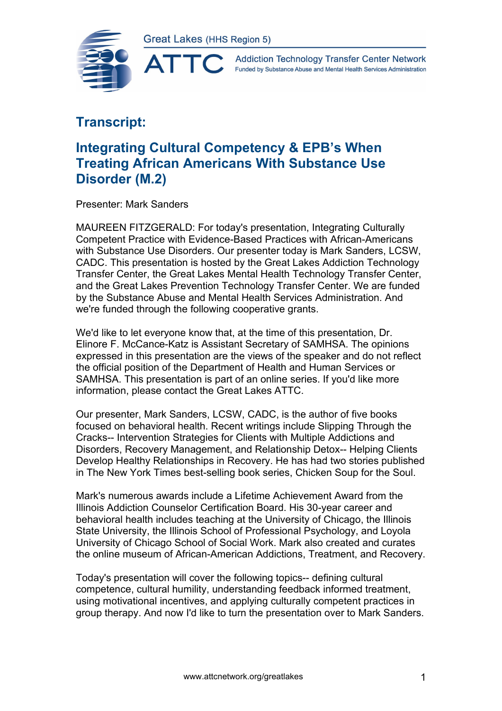AT



**Addiction Technology Transfer Center Network** Funded by Substance Abuse and Mental Health Services Administration

## **Transcript:**

## **Integrating Cultural Competency & EPB's When Treating African Americans With Substance Use Disorder (M.2)**

Presenter: Mark Sanders

MAUREEN FITZGERALD: For today's presentation, Integrating Culturally Competent Practice with Evidence-Based Practices with African-Americans with Substance Use Disorders. Our presenter today is Mark Sanders, LCSW, CADC. This presentation is hosted by the Great Lakes Addiction Technology Transfer Center, the Great Lakes Mental Health Technology Transfer Center, and the Great Lakes Prevention Technology Transfer Center. We are funded by the Substance Abuse and Mental Health Services Administration. And we're funded through the following cooperative grants.

We'd like to let everyone know that, at the time of this presentation, Dr. Elinore F. McCance-Katz is Assistant Secretary of SAMHSA. The opinions expressed in this presentation are the views of the speaker and do not reflect the official position of the Department of Health and Human Services or SAMHSA. This presentation is part of an online series. If you'd like more information, please contact the Great Lakes ATTC.

Our presenter, Mark Sanders, LCSW, CADC, is the author of five books focused on behavioral health. Recent writings include Slipping Through the Cracks-- Intervention Strategies for Clients with Multiple Addictions and Disorders, Recovery Management, and Relationship Detox-- Helping Clients Develop Healthy Relationships in Recovery. He has had two stories published in The New York Times best-selling book series, Chicken Soup for the Soul.

Mark's numerous awards include a Lifetime Achievement Award from the Illinois Addiction Counselor Certification Board. His 30-year career and behavioral health includes teaching at the University of Chicago, the Illinois State University, the Illinois School of Professional Psychology, and Loyola University of Chicago School of Social Work. Mark also created and curates the online museum of African-American Addictions, Treatment, and Recovery.

Today's presentation will cover the following topics-- defining cultural competence, cultural humility, understanding feedback informed treatment, using motivational incentives, and applying culturally competent practices in group therapy. And now I'd like to turn the presentation over to Mark Sanders.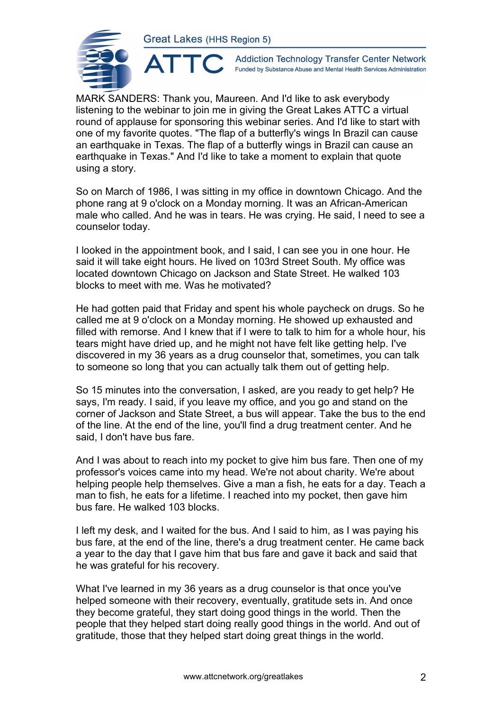

**Addiction Technology Transfer Center Network** Funded by Substance Abuse and Mental Health Services Administration

MARK SANDERS: Thank you, Maureen. And I'd like to ask everybody listening to the webinar to join me in giving the Great Lakes ATTC a virtual round of applause for sponsoring this webinar series. And I'd like to start with one of my favorite quotes. "The flap of a butterfly's wings In Brazil can cause an earthquake in Texas. The flap of a butterfly wings in Brazil can cause an earthquake in Texas." And I'd like to take a moment to explain that quote using a story.

So on March of 1986, I was sitting in my office in downtown Chicago. And the phone rang at 9 o'clock on a Monday morning. It was an African-American male who called. And he was in tears. He was crying. He said, I need to see a counselor today.

I looked in the appointment book, and I said, I can see you in one hour. He said it will take eight hours. He lived on 103rd Street South. My office was located downtown Chicago on Jackson and State Street. He walked 103 blocks to meet with me. Was he motivated?

He had gotten paid that Friday and spent his whole paycheck on drugs. So he called me at 9 o'clock on a Monday morning. He showed up exhausted and filled with remorse. And I knew that if I were to talk to him for a whole hour, his tears might have dried up, and he might not have felt like getting help. I've discovered in my 36 years as a drug counselor that, sometimes, you can talk to someone so long that you can actually talk them out of getting help.

So 15 minutes into the conversation, I asked, are you ready to get help? He says, I'm ready. I said, if you leave my office, and you go and stand on the corner of Jackson and State Street, a bus will appear. Take the bus to the end of the line. At the end of the line, you'll find a drug treatment center. And he said, I don't have bus fare.

And I was about to reach into my pocket to give him bus fare. Then one of my professor's voices came into my head. We're not about charity. We're about helping people help themselves. Give a man a fish, he eats for a day. Teach a man to fish, he eats for a lifetime. I reached into my pocket, then gave him bus fare. He walked 103 blocks.

I left my desk, and I waited for the bus. And I said to him, as I was paying his bus fare, at the end of the line, there's a drug treatment center. He came back a year to the day that I gave him that bus fare and gave it back and said that he was grateful for his recovery.

What I've learned in my 36 years as a drug counselor is that once you've helped someone with their recovery, eventually, gratitude sets in. And once they become grateful, they start doing good things in the world. Then the people that they helped start doing really good things in the world. And out of gratitude, those that they helped start doing great things in the world.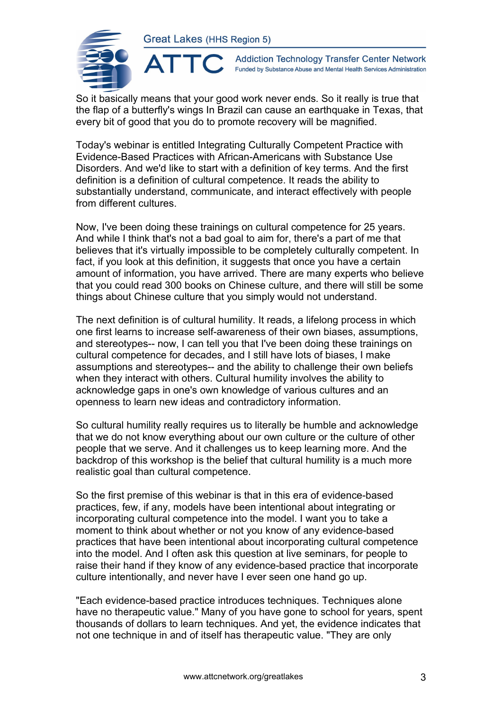

**Addiction Technology Transfer Center Network** Funded by Substance Abuse and Mental Health Services Administration

So it basically means that your good work never ends. So it really is true that the flap of a butterfly's wings In Brazil can cause an earthquake in Texas, that every bit of good that you do to promote recovery will be magnified.

Today's webinar is entitled Integrating Culturally Competent Practice with Evidence-Based Practices with African-Americans with Substance Use Disorders. And we'd like to start with a definition of key terms. And the first definition is a definition of cultural competence. It reads the ability to substantially understand, communicate, and interact effectively with people from different cultures.

Now, I've been doing these trainings on cultural competence for 25 years. And while I think that's not a bad goal to aim for, there's a part of me that believes that it's virtually impossible to be completely culturally competent. In fact, if you look at this definition, it suggests that once you have a certain amount of information, you have arrived. There are many experts who believe that you could read 300 books on Chinese culture, and there will still be some things about Chinese culture that you simply would not understand.

The next definition is of cultural humility. It reads, a lifelong process in which one first learns to increase self-awareness of their own biases, assumptions, and stereotypes-- now, I can tell you that I've been doing these trainings on cultural competence for decades, and I still have lots of biases, I make assumptions and stereotypes-- and the ability to challenge their own beliefs when they interact with others. Cultural humility involves the ability to acknowledge gaps in one's own knowledge of various cultures and an openness to learn new ideas and contradictory information.

So cultural humility really requires us to literally be humble and acknowledge that we do not know everything about our own culture or the culture of other people that we serve. And it challenges us to keep learning more. And the backdrop of this workshop is the belief that cultural humility is a much more realistic goal than cultural competence.

So the first premise of this webinar is that in this era of evidence-based practices, few, if any, models have been intentional about integrating or incorporating cultural competence into the model. I want you to take a moment to think about whether or not you know of any evidence-based practices that have been intentional about incorporating cultural competence into the model. And I often ask this question at live seminars, for people to raise their hand if they know of any evidence-based practice that incorporate culture intentionally, and never have I ever seen one hand go up.

"Each evidence-based practice introduces techniques. Techniques alone have no therapeutic value." Many of you have gone to school for years, spent thousands of dollars to learn techniques. And yet, the evidence indicates that not one technique in and of itself has therapeutic value. "They are only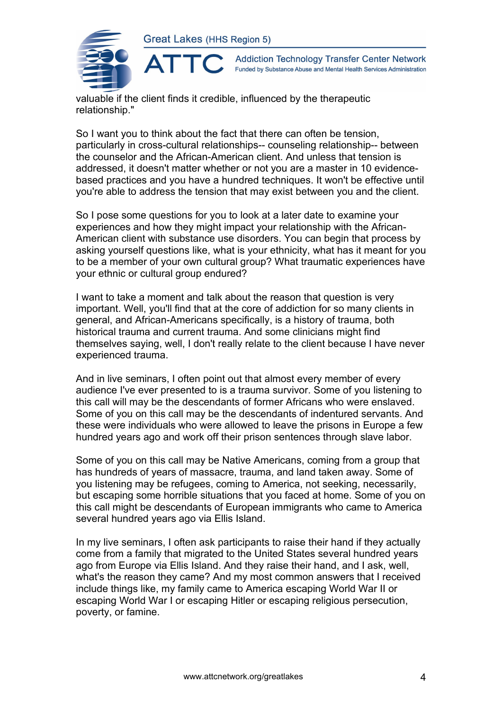

**Addiction Technology Transfer Center Network** Funded by Substance Abuse and Mental Health Services Administration

valuable if the client finds it credible, influenced by the therapeutic relationship."

So I want you to think about the fact that there can often be tension, particularly in cross-cultural relationships-- counseling relationship-- between the counselor and the African-American client. And unless that tension is addressed, it doesn't matter whether or not you are a master in 10 evidencebased practices and you have a hundred techniques. It won't be effective until you're able to address the tension that may exist between you and the client.

So I pose some questions for you to look at a later date to examine your experiences and how they might impact your relationship with the African-American client with substance use disorders. You can begin that process by asking yourself questions like, what is your ethnicity, what has it meant for you to be a member of your own cultural group? What traumatic experiences have your ethnic or cultural group endured?

I want to take a moment and talk about the reason that question is very important. Well, you'll find that at the core of addiction for so many clients in general, and African-Americans specifically, is a history of trauma, both historical trauma and current trauma. And some clinicians might find themselves saying, well, I don't really relate to the client because I have never experienced trauma.

And in live seminars, I often point out that almost every member of every audience I've ever presented to is a trauma survivor. Some of you listening to this call will may be the descendants of former Africans who were enslaved. Some of you on this call may be the descendants of indentured servants. And these were individuals who were allowed to leave the prisons in Europe a few hundred years ago and work off their prison sentences through slave labor.

Some of you on this call may be Native Americans, coming from a group that has hundreds of years of massacre, trauma, and land taken away. Some of you listening may be refugees, coming to America, not seeking, necessarily, but escaping some horrible situations that you faced at home. Some of you on this call might be descendants of European immigrants who came to America several hundred years ago via Ellis Island.

In my live seminars, I often ask participants to raise their hand if they actually come from a family that migrated to the United States several hundred years ago from Europe via Ellis Island. And they raise their hand, and I ask, well, what's the reason they came? And my most common answers that I received include things like, my family came to America escaping World War II or escaping World War I or escaping Hitler or escaping religious persecution, poverty, or famine.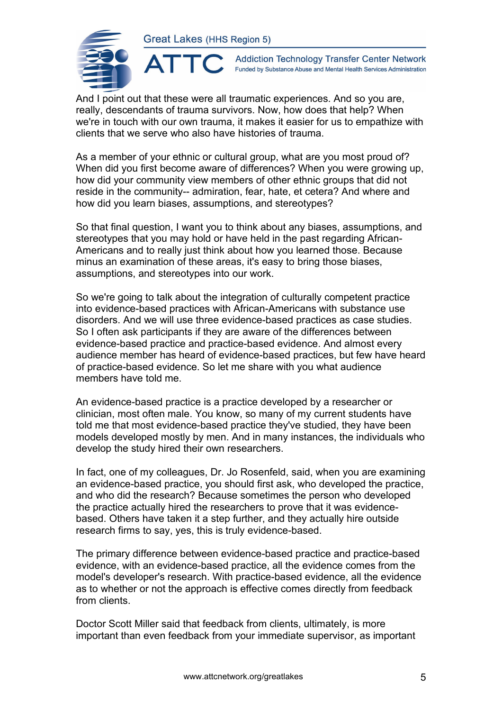ATTO



**Addiction Technology Transfer Center Network** Funded by Substance Abuse and Mental Health Services Administration

And I point out that these were all traumatic experiences. And so you are, really, descendants of trauma survivors. Now, how does that help? When we're in touch with our own trauma, it makes it easier for us to empathize with clients that we serve who also have histories of trauma.

As a member of your ethnic or cultural group, what are you most proud of? When did you first become aware of differences? When you were growing up, how did your community view members of other ethnic groups that did not reside in the community-- admiration, fear, hate, et cetera? And where and how did you learn biases, assumptions, and stereotypes?

So that final question, I want you to think about any biases, assumptions, and stereotypes that you may hold or have held in the past regarding African-Americans and to really just think about how you learned those. Because minus an examination of these areas, it's easy to bring those biases, assumptions, and stereotypes into our work.

So we're going to talk about the integration of culturally competent practice into evidence-based practices with African-Americans with substance use disorders. And we will use three evidence-based practices as case studies. So I often ask participants if they are aware of the differences between evidence-based practice and practice-based evidence. And almost every audience member has heard of evidence-based practices, but few have heard of practice-based evidence. So let me share with you what audience members have told me.

An evidence-based practice is a practice developed by a researcher or clinician, most often male. You know, so many of my current students have told me that most evidence-based practice they've studied, they have been models developed mostly by men. And in many instances, the individuals who develop the study hired their own researchers.

In fact, one of my colleagues, Dr. Jo Rosenfeld, said, when you are examining an evidence-based practice, you should first ask, who developed the practice, and who did the research? Because sometimes the person who developed the practice actually hired the researchers to prove that it was evidencebased. Others have taken it a step further, and they actually hire outside research firms to say, yes, this is truly evidence-based.

The primary difference between evidence-based practice and practice-based evidence, with an evidence-based practice, all the evidence comes from the model's developer's research. With practice-based evidence, all the evidence as to whether or not the approach is effective comes directly from feedback from clients.

Doctor Scott Miller said that feedback from clients, ultimately, is more important than even feedback from your immediate supervisor, as important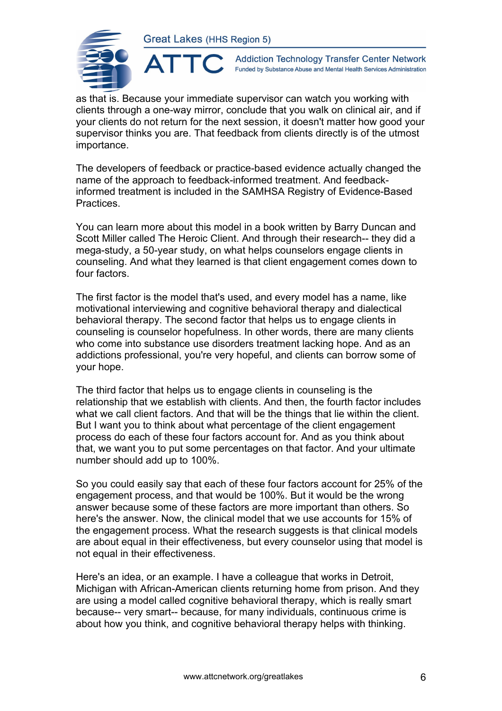

**Addiction Technology Transfer Center Network** Funded by Substance Abuse and Mental Health Services Administration

as that is. Because your immediate supervisor can watch you working with clients through a one-way mirror, conclude that you walk on clinical air, and if your clients do not return for the next session, it doesn't matter how good your supervisor thinks you are. That feedback from clients directly is of the utmost importance.

The developers of feedback or practice-based evidence actually changed the name of the approach to feedback-informed treatment. And feedbackinformed treatment is included in the SAMHSA Registry of Evidence-Based Practices.

You can learn more about this model in a book written by Barry Duncan and Scott Miller called The Heroic Client. And through their research-- they did a mega-study, a 50-year study, on what helps counselors engage clients in counseling. And what they learned is that client engagement comes down to four factors.

The first factor is the model that's used, and every model has a name, like motivational interviewing and cognitive behavioral therapy and dialectical behavioral therapy. The second factor that helps us to engage clients in counseling is counselor hopefulness. In other words, there are many clients who come into substance use disorders treatment lacking hope. And as an addictions professional, you're very hopeful, and clients can borrow some of your hope.

The third factor that helps us to engage clients in counseling is the relationship that we establish with clients. And then, the fourth factor includes what we call client factors. And that will be the things that lie within the client. But I want you to think about what percentage of the client engagement process do each of these four factors account for. And as you think about that, we want you to put some percentages on that factor. And your ultimate number should add up to 100%.

So you could easily say that each of these four factors account for 25% of the engagement process, and that would be 100%. But it would be the wrong answer because some of these factors are more important than others. So here's the answer. Now, the clinical model that we use accounts for 15% of the engagement process. What the research suggests is that clinical models are about equal in their effectiveness, but every counselor using that model is not equal in their effectiveness.

Here's an idea, or an example. I have a colleague that works in Detroit, Michigan with African-American clients returning home from prison. And they are using a model called cognitive behavioral therapy, which is really smart because-- very smart-- because, for many individuals, continuous crime is about how you think, and cognitive behavioral therapy helps with thinking.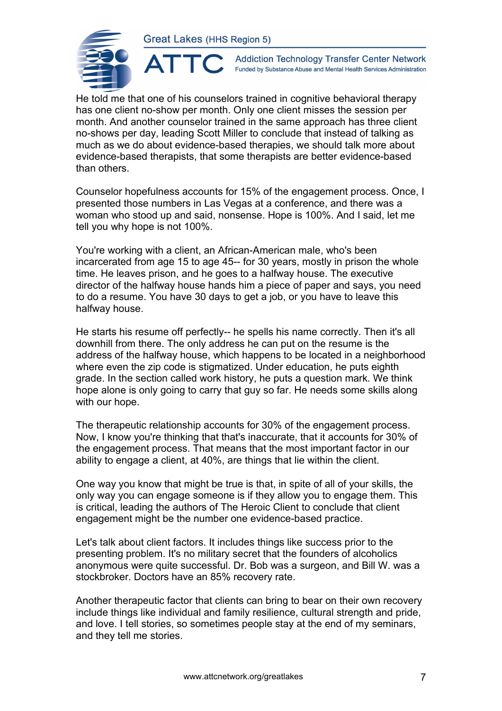ATTO



**Addiction Technology Transfer Center Network** Funded by Substance Abuse and Mental Health Services Administration

He told me that one of his counselors trained in cognitive behavioral therapy has one client no-show per month. Only one client misses the session per month. And another counselor trained in the same approach has three client no-shows per day, leading Scott Miller to conclude that instead of talking as much as we do about evidence-based therapies, we should talk more about evidence-based therapists, that some therapists are better evidence-based than others.

Counselor hopefulness accounts for 15% of the engagement process. Once, I presented those numbers in Las Vegas at a conference, and there was a woman who stood up and said, nonsense. Hope is 100%. And I said, let me tell you why hope is not 100%.

You're working with a client, an African-American male, who's been incarcerated from age 15 to age 45-- for 30 years, mostly in prison the whole time. He leaves prison, and he goes to a halfway house. The executive director of the halfway house hands him a piece of paper and says, you need to do a resume. You have 30 days to get a job, or you have to leave this halfway house.

He starts his resume off perfectly-- he spells his name correctly. Then it's all downhill from there. The only address he can put on the resume is the address of the halfway house, which happens to be located in a neighborhood where even the zip code is stigmatized. Under education, he puts eighth grade. In the section called work history, he puts a question mark. We think hope alone is only going to carry that guy so far. He needs some skills along with our hope.

The therapeutic relationship accounts for 30% of the engagement process. Now, I know you're thinking that that's inaccurate, that it accounts for 30% of the engagement process. That means that the most important factor in our ability to engage a client, at 40%, are things that lie within the client.

One way you know that might be true is that, in spite of all of your skills, the only way you can engage someone is if they allow you to engage them. This is critical, leading the authors of The Heroic Client to conclude that client engagement might be the number one evidence-based practice.

Let's talk about client factors. It includes things like success prior to the presenting problem. It's no military secret that the founders of alcoholics anonymous were quite successful. Dr. Bob was a surgeon, and Bill W. was a stockbroker. Doctors have an 85% recovery rate.

Another therapeutic factor that clients can bring to bear on their own recovery include things like individual and family resilience, cultural strength and pride, and love. I tell stories, so sometimes people stay at the end of my seminars, and they tell me stories.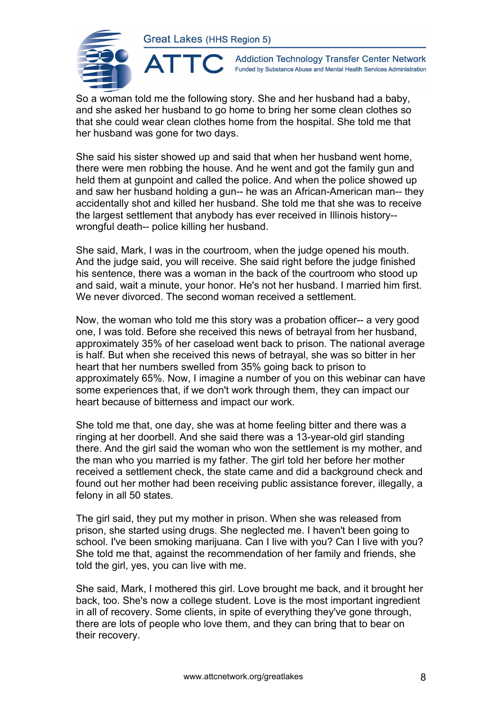ATTO



**Addiction Technology Transfer Center Network** Funded by Substance Abuse and Mental Health Services Administration

So a woman told me the following story. She and her husband had a baby, and she asked her husband to go home to bring her some clean clothes so that she could wear clean clothes home from the hospital. She told me that her husband was gone for two days.

She said his sister showed up and said that when her husband went home, there were men robbing the house. And he went and got the family gun and held them at gunpoint and called the police. And when the police showed up and saw her husband holding a gun-- he was an African-American man-- they accidentally shot and killed her husband. She told me that she was to receive the largest settlement that anybody has ever received in Illinois history- wrongful death-- police killing her husband.

She said, Mark, I was in the courtroom, when the judge opened his mouth. And the judge said, you will receive. She said right before the judge finished his sentence, there was a woman in the back of the courtroom who stood up and said, wait a minute, your honor. He's not her husband. I married him first. We never divorced. The second woman received a settlement.

Now, the woman who told me this story was a probation officer-- a very good one, I was told. Before she received this news of betrayal from her husband, approximately 35% of her caseload went back to prison. The national average is half. But when she received this news of betrayal, she was so bitter in her heart that her numbers swelled from 35% going back to prison to approximately 65%. Now, I imagine a number of you on this webinar can have some experiences that, if we don't work through them, they can impact our heart because of bitterness and impact our work.

She told me that, one day, she was at home feeling bitter and there was a ringing at her doorbell. And she said there was a 13-year-old girl standing there. And the girl said the woman who won the settlement is my mother, and the man who you married is my father. The girl told her before her mother received a settlement check, the state came and did a background check and found out her mother had been receiving public assistance forever, illegally, a felony in all 50 states.

The girl said, they put my mother in prison. When she was released from prison, she started using drugs. She neglected me. I haven't been going to school. I've been smoking marijuana. Can I live with you? Can I live with you? She told me that, against the recommendation of her family and friends, she told the girl, yes, you can live with me.

She said, Mark, I mothered this girl. Love brought me back, and it brought her back, too. She's now a college student. Love is the most important ingredient in all of recovery. Some clients, in spite of everything they've gone through, there are lots of people who love them, and they can bring that to bear on their recovery.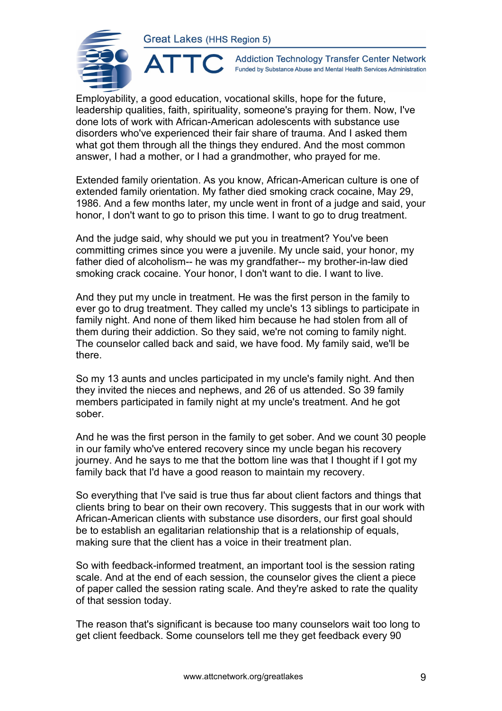

**Addiction Technology Transfer Center Network** Funded by Substance Abuse and Mental Health Services Administration

Employability, a good education, vocational skills, hope for the future, leadership qualities, faith, spirituality, someone's praying for them. Now, I've done lots of work with African-American adolescents with substance use disorders who've experienced their fair share of trauma. And I asked them what got them through all the things they endured. And the most common answer, I had a mother, or I had a grandmother, who prayed for me.

Extended family orientation. As you know, African-American culture is one of extended family orientation. My father died smoking crack cocaine, May 29, 1986. And a few months later, my uncle went in front of a judge and said, your honor, I don't want to go to prison this time. I want to go to drug treatment.

And the judge said, why should we put you in treatment? You've been committing crimes since you were a juvenile. My uncle said, your honor, my father died of alcoholism-- he was my grandfather-- my brother-in-law died smoking crack cocaine. Your honor, I don't want to die. I want to live.

And they put my uncle in treatment. He was the first person in the family to ever go to drug treatment. They called my uncle's 13 siblings to participate in family night. And none of them liked him because he had stolen from all of them during their addiction. So they said, we're not coming to family night. The counselor called back and said, we have food. My family said, we'll be there.

So my 13 aunts and uncles participated in my uncle's family night. And then they invited the nieces and nephews, and 26 of us attended. So 39 family members participated in family night at my uncle's treatment. And he got sober.

And he was the first person in the family to get sober. And we count 30 people in our family who've entered recovery since my uncle began his recovery journey. And he says to me that the bottom line was that I thought if I got my family back that I'd have a good reason to maintain my recovery.

So everything that I've said is true thus far about client factors and things that clients bring to bear on their own recovery. This suggests that in our work with African-American clients with substance use disorders, our first goal should be to establish an egalitarian relationship that is a relationship of equals, making sure that the client has a voice in their treatment plan.

So with feedback-informed treatment, an important tool is the session rating scale. And at the end of each session, the counselor gives the client a piece of paper called the session rating scale. And they're asked to rate the quality of that session today.

The reason that's significant is because too many counselors wait too long to get client feedback. Some counselors tell me they get feedback every 90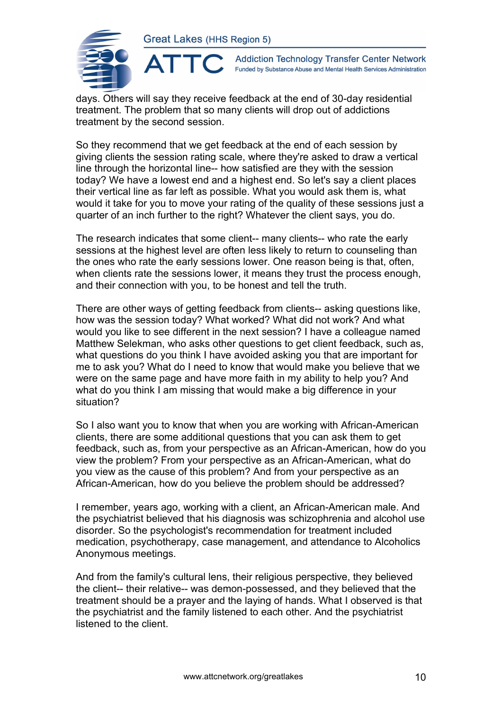

 $\blacktriangle^-$ 

**Addiction Technology Transfer Center Network** Funded by Substance Abuse and Mental Health Services Administration

days. Others will say they receive feedback at the end of 30-day residential treatment. The problem that so many clients will drop out of addictions treatment by the second session.

So they recommend that we get feedback at the end of each session by giving clients the session rating scale, where they're asked to draw a vertical line through the horizontal line-- how satisfied are they with the session today? We have a lowest end and a highest end. So let's say a client places their vertical line as far left as possible. What you would ask them is, what would it take for you to move your rating of the quality of these sessions just a quarter of an inch further to the right? Whatever the client says, you do.

The research indicates that some client-- many clients-- who rate the early sessions at the highest level are often less likely to return to counseling than the ones who rate the early sessions lower. One reason being is that, often, when clients rate the sessions lower, it means they trust the process enough, and their connection with you, to be honest and tell the truth.

There are other ways of getting feedback from clients-- asking questions like, how was the session today? What worked? What did not work? And what would you like to see different in the next session? I have a colleague named Matthew Selekman, who asks other questions to get client feedback, such as, what questions do you think I have avoided asking you that are important for me to ask you? What do I need to know that would make you believe that we were on the same page and have more faith in my ability to help you? And what do you think I am missing that would make a big difference in your situation?

So I also want you to know that when you are working with African-American clients, there are some additional questions that you can ask them to get feedback, such as, from your perspective as an African-American, how do you view the problem? From your perspective as an African-American, what do you view as the cause of this problem? And from your perspective as an African-American, how do you believe the problem should be addressed?

I remember, years ago, working with a client, an African-American male. And the psychiatrist believed that his diagnosis was schizophrenia and alcohol use disorder. So the psychologist's recommendation for treatment included medication, psychotherapy, case management, and attendance to Alcoholics Anonymous meetings.

And from the family's cultural lens, their religious perspective, they believed the client-- their relative-- was demon-possessed, and they believed that the treatment should be a prayer and the laying of hands. What I observed is that the psychiatrist and the family listened to each other. And the psychiatrist listened to the client.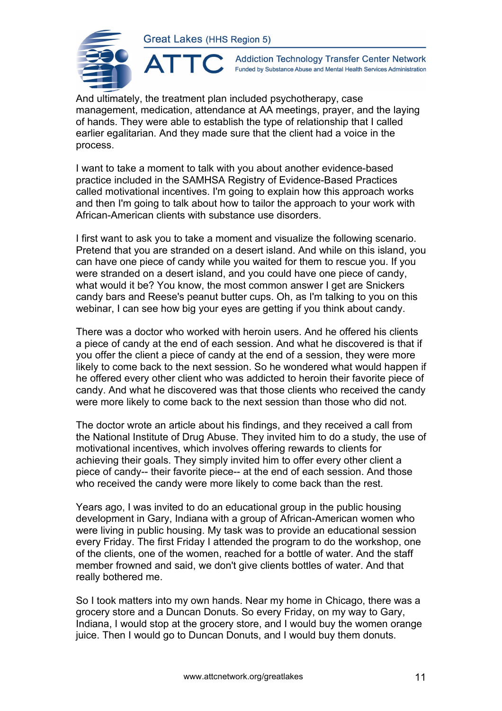AT



**Addiction Technology Transfer Center Network** Funded by Substance Abuse and Mental Health Services Administration

And ultimately, the treatment plan included psychotherapy, case management, medication, attendance at AA meetings, prayer, and the laying of hands. They were able to establish the type of relationship that I called earlier egalitarian. And they made sure that the client had a voice in the process.

I want to take a moment to talk with you about another evidence-based practice included in the SAMHSA Registry of Evidence-Based Practices called motivational incentives. I'm going to explain how this approach works and then I'm going to talk about how to tailor the approach to your work with African-American clients with substance use disorders.

I first want to ask you to take a moment and visualize the following scenario. Pretend that you are stranded on a desert island. And while on this island, you can have one piece of candy while you waited for them to rescue you. If you were stranded on a desert island, and you could have one piece of candy, what would it be? You know, the most common answer I get are Snickers candy bars and Reese's peanut butter cups. Oh, as I'm talking to you on this webinar, I can see how big your eyes are getting if you think about candy.

There was a doctor who worked with heroin users. And he offered his clients a piece of candy at the end of each session. And what he discovered is that if you offer the client a piece of candy at the end of a session, they were more likely to come back to the next session. So he wondered what would happen if he offered every other client who was addicted to heroin their favorite piece of candy. And what he discovered was that those clients who received the candy were more likely to come back to the next session than those who did not.

The doctor wrote an article about his findings, and they received a call from the National Institute of Drug Abuse. They invited him to do a study, the use of motivational incentives, which involves offering rewards to clients for achieving their goals. They simply invited him to offer every other client a piece of candy-- their favorite piece-- at the end of each session. And those who received the candy were more likely to come back than the rest.

Years ago, I was invited to do an educational group in the public housing development in Gary, Indiana with a group of African-American women who were living in public housing. My task was to provide an educational session every Friday. The first Friday I attended the program to do the workshop, one of the clients, one of the women, reached for a bottle of water. And the staff member frowned and said, we don't give clients bottles of water. And that really bothered me.

So I took matters into my own hands. Near my home in Chicago, there was a grocery store and a Duncan Donuts. So every Friday, on my way to Gary, Indiana, I would stop at the grocery store, and I would buy the women orange juice. Then I would go to Duncan Donuts, and I would buy them donuts.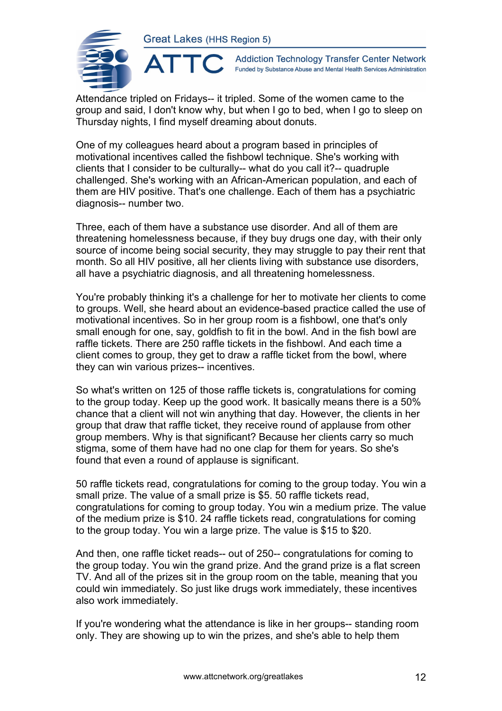

**Addiction Technology Transfer Center Network** Funded by Substance Abuse and Mental Health Services Administration

Attendance tripled on Fridays-- it tripled. Some of the women came to the group and said, I don't know why, but when I go to bed, when I go to sleep on Thursday nights, I find myself dreaming about donuts.

One of my colleagues heard about a program based in principles of motivational incentives called the fishbowl technique. She's working with clients that I consider to be culturally-- what do you call it?-- quadruple challenged. She's working with an African-American population, and each of them are HIV positive. That's one challenge. Each of them has a psychiatric diagnosis-- number two.

Three, each of them have a substance use disorder. And all of them are threatening homelessness because, if they buy drugs one day, with their only source of income being social security, they may struggle to pay their rent that month. So all HIV positive, all her clients living with substance use disorders, all have a psychiatric diagnosis, and all threatening homelessness.

You're probably thinking it's a challenge for her to motivate her clients to come to groups. Well, she heard about an evidence-based practice called the use of motivational incentives. So in her group room is a fishbowl, one that's only small enough for one, say, goldfish to fit in the bowl. And in the fish bowl are raffle tickets. There are 250 raffle tickets in the fishbowl. And each time a client comes to group, they get to draw a raffle ticket from the bowl, where they can win various prizes-- incentives.

So what's written on 125 of those raffle tickets is, congratulations for coming to the group today. Keep up the good work. It basically means there is a 50% chance that a client will not win anything that day. However, the clients in her group that draw that raffle ticket, they receive round of applause from other group members. Why is that significant? Because her clients carry so much stigma, some of them have had no one clap for them for years. So she's found that even a round of applause is significant.

50 raffle tickets read, congratulations for coming to the group today. You win a small prize. The value of a small prize is \$5. 50 raffle tickets read, congratulations for coming to group today. You win a medium prize. The value of the medium prize is \$10. 24 raffle tickets read, congratulations for coming to the group today. You win a large prize. The value is \$15 to \$20.

And then, one raffle ticket reads-- out of 250-- congratulations for coming to the group today. You win the grand prize. And the grand prize is a flat screen TV. And all of the prizes sit in the group room on the table, meaning that you could win immediately. So just like drugs work immediately, these incentives also work immediately.

If you're wondering what the attendance is like in her groups-- standing room only. They are showing up to win the prizes, and she's able to help them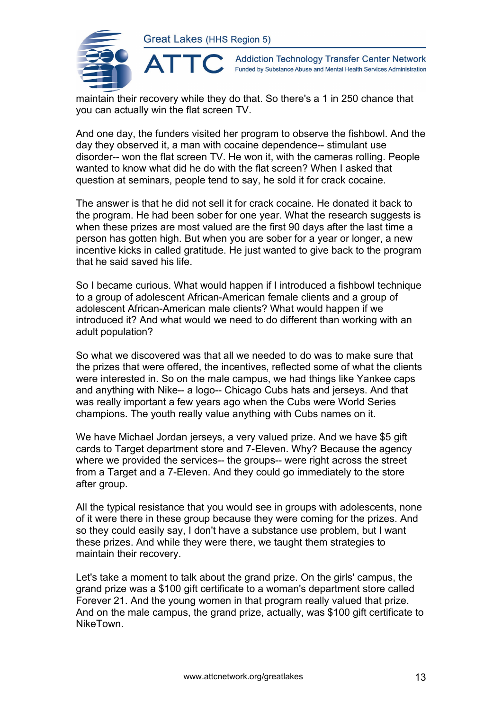

**Addiction Technology Transfer Center Network** Funded by Substance Abuse and Mental Health Services Administration

maintain their recovery while they do that. So there's a 1 in 250 chance that you can actually win the flat screen TV.

And one day, the funders visited her program to observe the fishbowl. And the day they observed it, a man with cocaine dependence-- stimulant use disorder-- won the flat screen TV. He won it, with the cameras rolling. People wanted to know what did he do with the flat screen? When I asked that question at seminars, people tend to say, he sold it for crack cocaine.

The answer is that he did not sell it for crack cocaine. He donated it back to the program. He had been sober for one year. What the research suggests is when these prizes are most valued are the first 90 days after the last time a person has gotten high. But when you are sober for a year or longer, a new incentive kicks in called gratitude. He just wanted to give back to the program that he said saved his life.

So I became curious. What would happen if I introduced a fishbowl technique to a group of adolescent African-American female clients and a group of adolescent African-American male clients? What would happen if we introduced it? And what would we need to do different than working with an adult population?

So what we discovered was that all we needed to do was to make sure that the prizes that were offered, the incentives, reflected some of what the clients were interested in. So on the male campus, we had things like Yankee caps and anything with Nike-- a logo-- Chicago Cubs hats and jerseys. And that was really important a few years ago when the Cubs were World Series champions. The youth really value anything with Cubs names on it.

We have Michael Jordan jerseys, a very valued prize. And we have \$5 gift cards to Target department store and 7-Eleven. Why? Because the agency where we provided the services-- the groups-- were right across the street from a Target and a 7-Eleven. And they could go immediately to the store after group.

All the typical resistance that you would see in groups with adolescents, none of it were there in these group because they were coming for the prizes. And so they could easily say, I don't have a substance use problem, but I want these prizes. And while they were there, we taught them strategies to maintain their recovery.

Let's take a moment to talk about the grand prize. On the girls' campus, the grand prize was a \$100 gift certificate to a woman's department store called Forever 21. And the young women in that program really valued that prize. And on the male campus, the grand prize, actually, was \$100 gift certificate to NikeTown.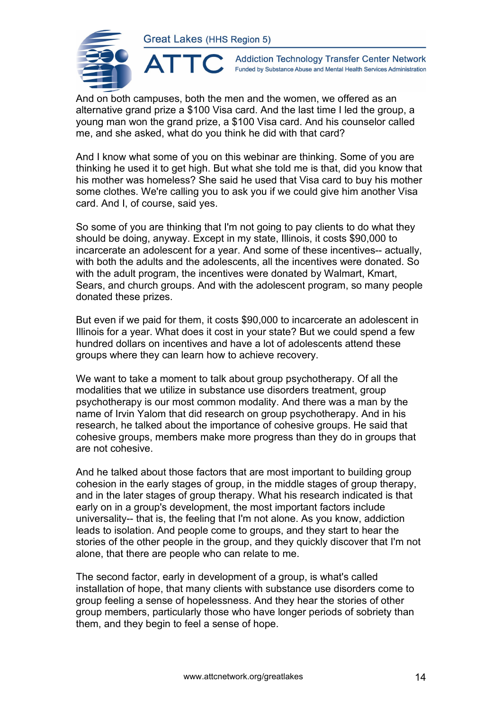

**Addiction Technology Transfer Center Network** Funded by Substance Abuse and Mental Health Services Administration

And on both campuses, both the men and the women, we offered as an alternative grand prize a \$100 Visa card. And the last time I led the group, a young man won the grand prize, a \$100 Visa card. And his counselor called me, and she asked, what do you think he did with that card?

And I know what some of you on this webinar are thinking. Some of you are thinking he used it to get high. But what she told me is that, did you know that his mother was homeless? She said he used that Visa card to buy his mother some clothes. We're calling you to ask you if we could give him another Visa card. And I, of course, said yes.

So some of you are thinking that I'm not going to pay clients to do what they should be doing, anyway. Except in my state, Illinois, it costs \$90,000 to incarcerate an adolescent for a year. And some of these incentives-- actually, with both the adults and the adolescents, all the incentives were donated. So with the adult program, the incentives were donated by Walmart, Kmart, Sears, and church groups. And with the adolescent program, so many people donated these prizes.

But even if we paid for them, it costs \$90,000 to incarcerate an adolescent in Illinois for a year. What does it cost in your state? But we could spend a few hundred dollars on incentives and have a lot of adolescents attend these groups where they can learn how to achieve recovery.

We want to take a moment to talk about group psychotherapy. Of all the modalities that we utilize in substance use disorders treatment, group psychotherapy is our most common modality. And there was a man by the name of Irvin Yalom that did research on group psychotherapy. And in his research, he talked about the importance of cohesive groups. He said that cohesive groups, members make more progress than they do in groups that are not cohesive.

And he talked about those factors that are most important to building group cohesion in the early stages of group, in the middle stages of group therapy, and in the later stages of group therapy. What his research indicated is that early on in a group's development, the most important factors include universality-- that is, the feeling that I'm not alone. As you know, addiction leads to isolation. And people come to groups, and they start to hear the stories of the other people in the group, and they quickly discover that I'm not alone, that there are people who can relate to me.

The second factor, early in development of a group, is what's called installation of hope, that many clients with substance use disorders come to group feeling a sense of hopelessness. And they hear the stories of other group members, particularly those who have longer periods of sobriety than them, and they begin to feel a sense of hope.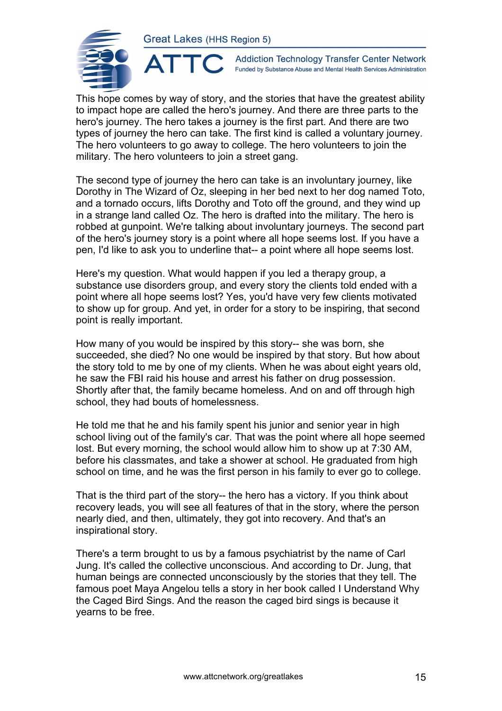ATTC



**Addiction Technology Transfer Center Network** Funded by Substance Abuse and Mental Health Services Administration

This hope comes by way of story, and the stories that have the greatest ability to impact hope are called the hero's journey. And there are three parts to the hero's journey. The hero takes a journey is the first part. And there are two types of journey the hero can take. The first kind is called a voluntary journey. The hero volunteers to go away to college. The hero volunteers to join the military. The hero volunteers to join a street gang.

The second type of journey the hero can take is an involuntary journey, like Dorothy in The Wizard of Oz, sleeping in her bed next to her dog named Toto, and a tornado occurs, lifts Dorothy and Toto off the ground, and they wind up in a strange land called Oz. The hero is drafted into the military. The hero is robbed at gunpoint. We're talking about involuntary journeys. The second part of the hero's journey story is a point where all hope seems lost. If you have a pen, I'd like to ask you to underline that-- a point where all hope seems lost.

Here's my question. What would happen if you led a therapy group, a substance use disorders group, and every story the clients told ended with a point where all hope seems lost? Yes, you'd have very few clients motivated to show up for group. And yet, in order for a story to be inspiring, that second point is really important.

How many of you would be inspired by this story-- she was born, she succeeded, she died? No one would be inspired by that story. But how about the story told to me by one of my clients. When he was about eight years old, he saw the FBI raid his house and arrest his father on drug possession. Shortly after that, the family became homeless. And on and off through high school, they had bouts of homelessness.

He told me that he and his family spent his junior and senior year in high school living out of the family's car. That was the point where all hope seemed lost. But every morning, the school would allow him to show up at 7:30 AM, before his classmates, and take a shower at school. He graduated from high school on time, and he was the first person in his family to ever go to college.

That is the third part of the story-- the hero has a victory. If you think about recovery leads, you will see all features of that in the story, where the person nearly died, and then, ultimately, they got into recovery. And that's an inspirational story.

There's a term brought to us by a famous psychiatrist by the name of Carl Jung. It's called the collective unconscious. And according to Dr. Jung, that human beings are connected unconsciously by the stories that they tell. The famous poet Maya Angelou tells a story in her book called I Understand Why the Caged Bird Sings. And the reason the caged bird sings is because it yearns to be free.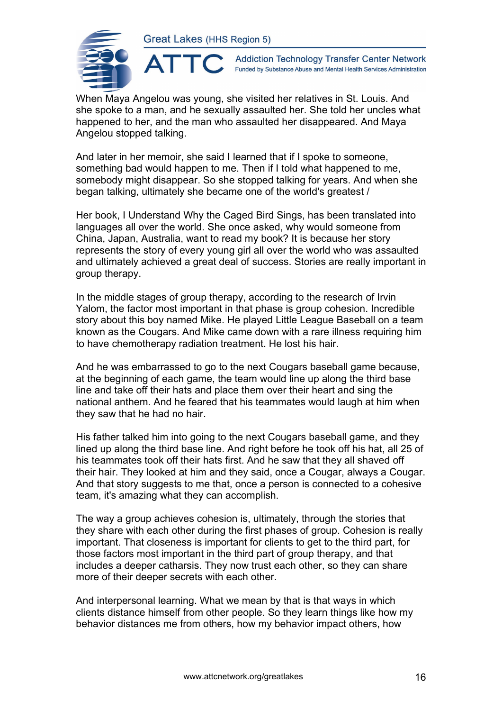

**Addiction Technology Transfer Center Network** Funded by Substance Abuse and Mental Health Services Administration

When Maya Angelou was young, she visited her relatives in St. Louis. And she spoke to a man, and he sexually assaulted her. She told her uncles what happened to her, and the man who assaulted her disappeared. And Maya Angelou stopped talking.

And later in her memoir, she said I learned that if I spoke to someone, something bad would happen to me. Then if I told what happened to me, somebody might disappear. So she stopped talking for years. And when she began talking, ultimately she became one of the world's greatest /

Her book, I Understand Why the Caged Bird Sings, has been translated into languages all over the world. She once asked, why would someone from China, Japan, Australia, want to read my book? It is because her story represents the story of every young girl all over the world who was assaulted and ultimately achieved a great deal of success. Stories are really important in group therapy.

In the middle stages of group therapy, according to the research of Irvin Yalom, the factor most important in that phase is group cohesion. Incredible story about this boy named Mike. He played Little League Baseball on a team known as the Cougars. And Mike came down with a rare illness requiring him to have chemotherapy radiation treatment. He lost his hair.

And he was embarrassed to go to the next Cougars baseball game because, at the beginning of each game, the team would line up along the third base line and take off their hats and place them over their heart and sing the national anthem. And he feared that his teammates would laugh at him when they saw that he had no hair.

His father talked him into going to the next Cougars baseball game, and they lined up along the third base line. And right before he took off his hat, all 25 of his teammates took off their hats first. And he saw that they all shaved off their hair. They looked at him and they said, once a Cougar, always a Cougar. And that story suggests to me that, once a person is connected to a cohesive team, it's amazing what they can accomplish.

The way a group achieves cohesion is, ultimately, through the stories that they share with each other during the first phases of group. Cohesion is really important. That closeness is important for clients to get to the third part, for those factors most important in the third part of group therapy, and that includes a deeper catharsis. They now trust each other, so they can share more of their deeper secrets with each other.

And interpersonal learning. What we mean by that is that ways in which clients distance himself from other people. So they learn things like how my behavior distances me from others, how my behavior impact others, how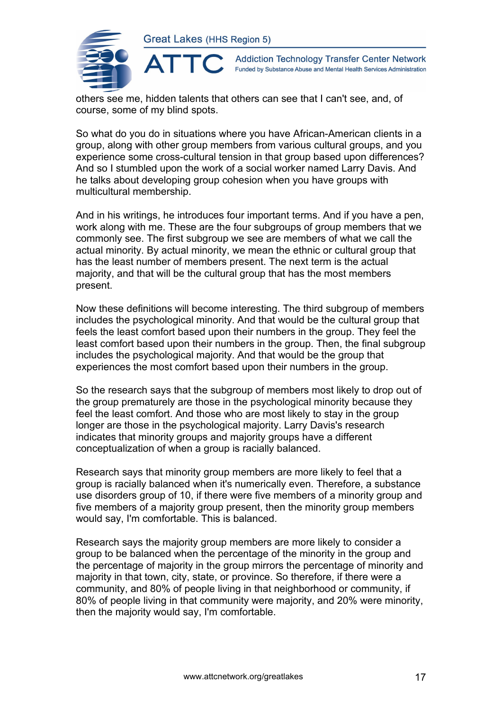

 $\blacktriangle$ 

**Addiction Technology Transfer Center Network** Funded by Substance Abuse and Mental Health Services Administration

others see me, hidden talents that others can see that I can't see, and, of course, some of my blind spots.

So what do you do in situations where you have African-American clients in a group, along with other group members from various cultural groups, and you experience some cross-cultural tension in that group based upon differences? And so I stumbled upon the work of a social worker named Larry Davis. And he talks about developing group cohesion when you have groups with multicultural membership.

And in his writings, he introduces four important terms. And if you have a pen, work along with me. These are the four subgroups of group members that we commonly see. The first subgroup we see are members of what we call the actual minority. By actual minority, we mean the ethnic or cultural group that has the least number of members present. The next term is the actual majority, and that will be the cultural group that has the most members present.

Now these definitions will become interesting. The third subgroup of members includes the psychological minority. And that would be the cultural group that feels the least comfort based upon their numbers in the group. They feel the least comfort based upon their numbers in the group. Then, the final subgroup includes the psychological majority. And that would be the group that experiences the most comfort based upon their numbers in the group.

So the research says that the subgroup of members most likely to drop out of the group prematurely are those in the psychological minority because they feel the least comfort. And those who are most likely to stay in the group longer are those in the psychological majority. Larry Davis's research indicates that minority groups and majority groups have a different conceptualization of when a group is racially balanced.

Research says that minority group members are more likely to feel that a group is racially balanced when it's numerically even. Therefore, a substance use disorders group of 10, if there were five members of a minority group and five members of a majority group present, then the minority group members would say, I'm comfortable. This is balanced.

Research says the majority group members are more likely to consider a group to be balanced when the percentage of the minority in the group and the percentage of majority in the group mirrors the percentage of minority and majority in that town, city, state, or province. So therefore, if there were a community, and 80% of people living in that neighborhood or community, if 80% of people living in that community were majority, and 20% were minority, then the majority would say, I'm comfortable.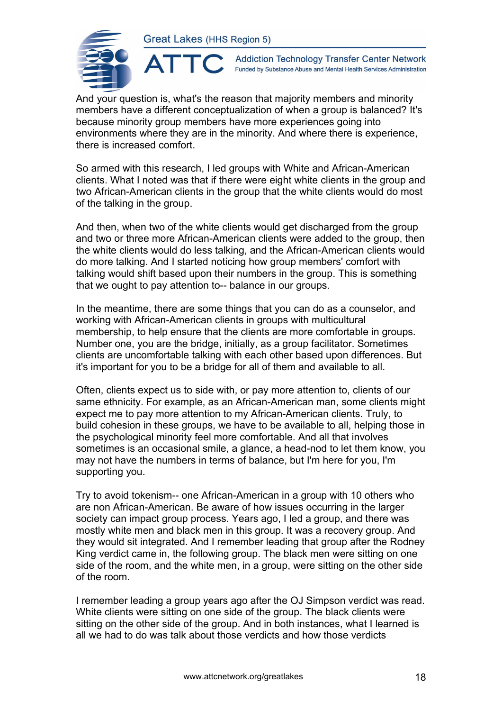ATTO



**Addiction Technology Transfer Center Network** Funded by Substance Abuse and Mental Health Services Administration

And your question is, what's the reason that majority members and minority members have a different conceptualization of when a group is balanced? It's because minority group members have more experiences going into environments where they are in the minority. And where there is experience, there is increased comfort.

So armed with this research, I led groups with White and African-American clients. What I noted was that if there were eight white clients in the group and two African-American clients in the group that the white clients would do most of the talking in the group.

And then, when two of the white clients would get discharged from the group and two or three more African-American clients were added to the group, then the white clients would do less talking, and the African-American clients would do more talking. And I started noticing how group members' comfort with talking would shift based upon their numbers in the group. This is something that we ought to pay attention to-- balance in our groups.

In the meantime, there are some things that you can do as a counselor, and working with African-American clients in groups with multicultural membership, to help ensure that the clients are more comfortable in groups. Number one, you are the bridge, initially, as a group facilitator. Sometimes clients are uncomfortable talking with each other based upon differences. But it's important for you to be a bridge for all of them and available to all.

Often, clients expect us to side with, or pay more attention to, clients of our same ethnicity. For example, as an African-American man, some clients might expect me to pay more attention to my African-American clients. Truly, to build cohesion in these groups, we have to be available to all, helping those in the psychological minority feel more comfortable. And all that involves sometimes is an occasional smile, a glance, a head-nod to let them know, you may not have the numbers in terms of balance, but I'm here for you, I'm supporting you.

Try to avoid tokenism-- one African-American in a group with 10 others who are non African-American. Be aware of how issues occurring in the larger society can impact group process. Years ago, I led a group, and there was mostly white men and black men in this group. It was a recovery group. And they would sit integrated. And I remember leading that group after the Rodney King verdict came in, the following group. The black men were sitting on one side of the room, and the white men, in a group, were sitting on the other side of the room.

I remember leading a group years ago after the OJ Simpson verdict was read. White clients were sitting on one side of the group. The black clients were sitting on the other side of the group. And in both instances, what I learned is all we had to do was talk about those verdicts and how those verdicts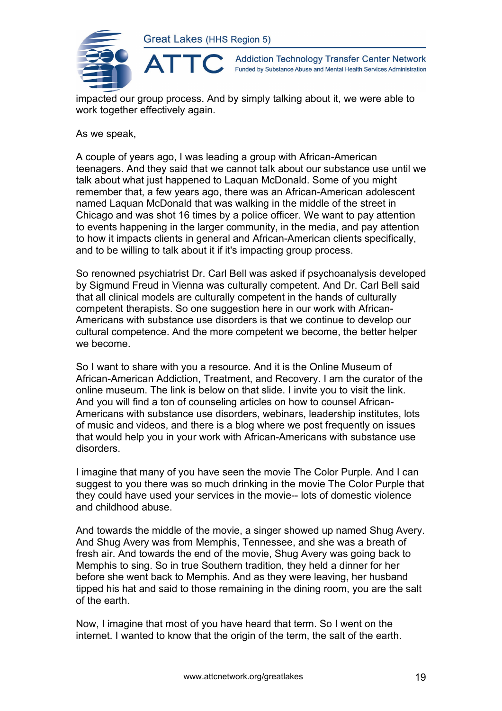

**Addiction Technology Transfer Center Network** Funded by Substance Abuse and Mental Health Services Administration

impacted our group process. And by simply talking about it, we were able to work together effectively again.

As we speak,

A couple of years ago, I was leading a group with African-American teenagers. And they said that we cannot talk about our substance use until we talk about what just happened to Laquan McDonald. Some of you might remember that, a few years ago, there was an African-American adolescent named Laquan McDonald that was walking in the middle of the street in Chicago and was shot 16 times by a police officer. We want to pay attention to events happening in the larger community, in the media, and pay attention to how it impacts clients in general and African-American clients specifically, and to be willing to talk about it if it's impacting group process.

So renowned psychiatrist Dr. Carl Bell was asked if psychoanalysis developed by Sigmund Freud in Vienna was culturally competent. And Dr. Carl Bell said that all clinical models are culturally competent in the hands of culturally competent therapists. So one suggestion here in our work with African-Americans with substance use disorders is that we continue to develop our cultural competence. And the more competent we become, the better helper we become.

So I want to share with you a resource. And it is the Online Museum of African-American Addiction, Treatment, and Recovery. I am the curator of the online museum. The link is below on that slide. I invite you to visit the link. And you will find a ton of counseling articles on how to counsel African-Americans with substance use disorders, webinars, leadership institutes, lots of music and videos, and there is a blog where we post frequently on issues that would help you in your work with African-Americans with substance use disorders.

I imagine that many of you have seen the movie The Color Purple. And I can suggest to you there was so much drinking in the movie The Color Purple that they could have used your services in the movie-- lots of domestic violence and childhood abuse.

And towards the middle of the movie, a singer showed up named Shug Avery. And Shug Avery was from Memphis, Tennessee, and she was a breath of fresh air. And towards the end of the movie, Shug Avery was going back to Memphis to sing. So in true Southern tradition, they held a dinner for her before she went back to Memphis. And as they were leaving, her husband tipped his hat and said to those remaining in the dining room, you are the salt of the earth.

Now, I imagine that most of you have heard that term. So I went on the internet. I wanted to know that the origin of the term, the salt of the earth.